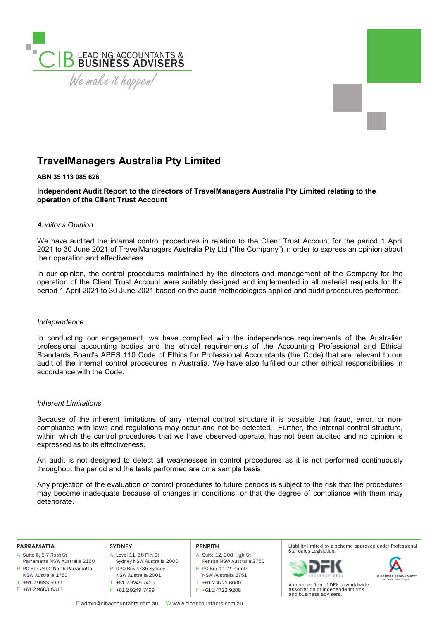

# **TravelManagers Australia Pty Limited**

### **ABN 35 113 085 626**

**Independent Audit Report to the directors of TravelManagers Australia Pty Limited relating to the operation of the Client Trust Account** 

# *Auditor's Opinion*

We have audited the internal control procedures in relation to the Client Trust Account for the period 1 April 2021 to 30 June 2021 of TravelManagers Australia Pty Ltd ("the Company") in order to express an opinion about their operation and effectiveness.

In our opinion, the control procedures maintained by the directors and management of the Company for the operation of the Client Trust Account were suitably designed and implemented in all material respects for the period 1 April 2021 to 30 June 2021 based on the audit methodologies applied and audit procedures performed.

#### *Independence*

In conducting our engagement, we have complied with the independence requirements of the Australian professional accounting bodies and the ethical requirements of the Accounting Professional and Ethical Standards Board's APES 110 Code of Ethics for Professional Accountants (the Code) that are relevant to our audit of the internal control procedures in Australia. We have also fulfilled our other ethical responsibilities in accordance with the Code.

#### *Inherent Limitations*

Because of the inherent limitations of any internal control structure it is possible that fraud, error, or noncompliance with laws and regulations may occur and not be detected. Further, the internal control structure, within which the control procedures that we have observed operate, has not been audited and no opinion is expressed as to its effectiveness.

An audit is not designed to detect all weaknesses in control procedures as it is not performed continuously throughout the period and the tests performed are on a sample basis.

Any projection of the evaluation of control procedures to future periods is subject to the risk that the procedures may become inadequate because of changes in conditions, or that the degree of compliance with them may deteriorate.

#### **PARRAMATTA**

- A Suite 6, 5-7 Ross St
- P PO Box 2492 North Parramatta Parramatta NSW Australia 2150 NSW Australia 1750
- $T + 61296835999$
- F +61 2 9683 6313

## **SYDNEY**

- A Level 11, 56 Pitt St Sydney NSW Australia 2000 P GPO Box 4735 Sydney NSW Australia 2001
- T +61 2 9249 7400
- F +61 2 9249 7499

#### **PENRITH**

- A Suite 12, 308 High St
- Penrith NSW Australia 2750 P PO Box 1142 Penrith
- NSW Australia 2751
- T +61 2 4721 6000
- F +61 2 4722 9208

E admin@cibaccountants.com.au W www.cibaccountants.com.au

#### Liability limited by a scheme approved under Professional Standards Legislation.





A member firm of DFK, a worldwide association of independent firms and business advisers.